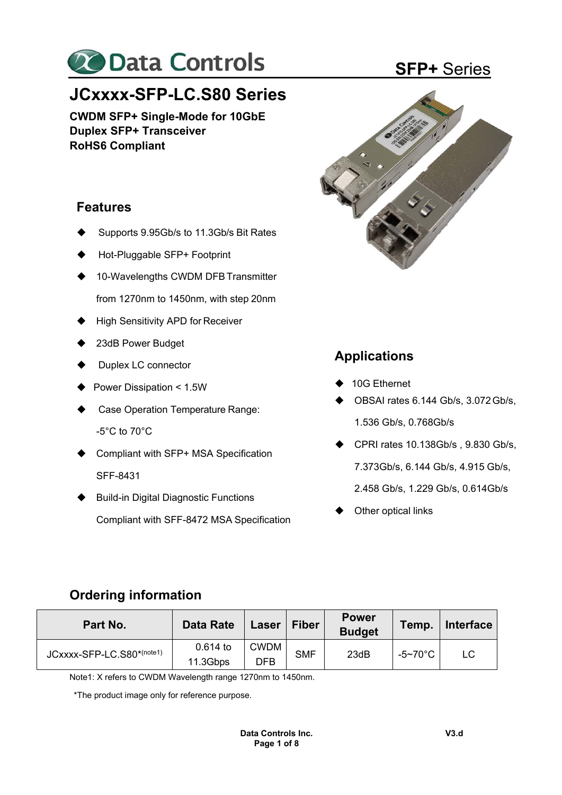

# **JCxxxx-SFP-LC.S80 Series**

**CWDM SFP+ Single-Mode for 10GbE Duplex SFP+ Transceiver RoHS6 Compliant** 

## **Features**

- Supports 9.95Gb/s to 11.3Gb/s Bit Rates
- Hot-Pluggable SFP+ Footprint
- 10-Wavelengths CWDM DFB Transmitter from 1270nm to 1450nm, with step 20nm
- High Sensitivity APD for Receiver
- 23dB Power Budget
- Duplex LC connector
- Power Dissipation < 1.5W
- Case Operation Temperature Range: -5°C to 70°C
- Compliant with SFP+ MSA Specification SFF-8431
- Build-in Digital Diagnostic Functions Compliant with SFF-8472 MSA Specification



## **Applications**

- 10G Ethernet
- $\bullet$  OBSAI rates 6.144 Gb/s, 3.072 Gb/s, 1.536 Gb/s, 0.768Gb/s
- $\blacklozenge$  CPRI rates 10.138Gb/s, 9.830 Gb/s, 7.373Gb/s, 6.144 Gb/s, 4.915 Gb/s,
	- 2.458 Gb/s, 1.229 Gb/s, 0.614Gb/s
- Other optical links

## **Ordering information**

| Part No.                  | <b>Data Rate</b>     | Laser                     | <b>Fiber</b> | <b>Power</b><br><b>Budget</b> | Temp.   | <b>Interface</b> |
|---------------------------|----------------------|---------------------------|--------------|-------------------------------|---------|------------------|
| JCxxxx-SFP-LC.S80*(note1) | 0.614 to<br>11.3Gbps | <b>CWDM</b><br><b>DFB</b> | <b>SMF</b>   | 23dB                          | -5~70°C | LC               |

Note1: X refers to CWDM Wavelength range 1270nm to 1450nm.

\*The product image only for reference purpose.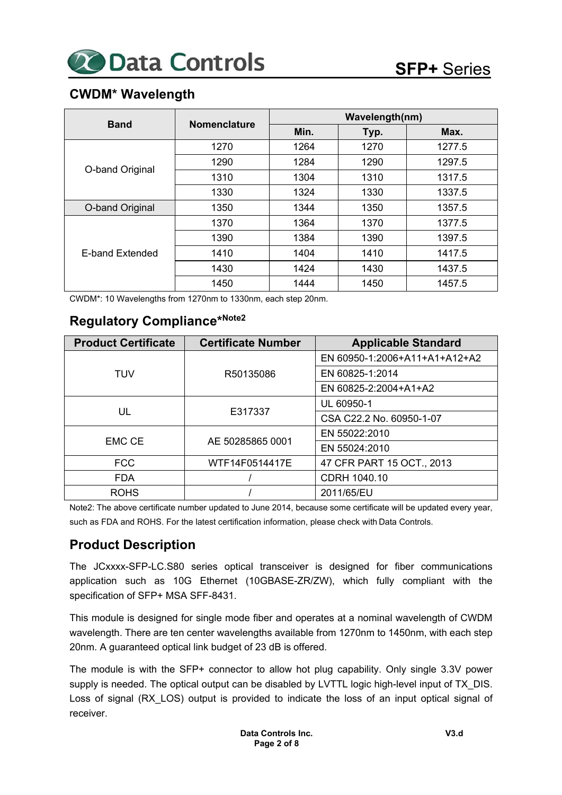## **CWDM\* Wavelength**

| <b>Band</b>     | <b>Nomenclature</b> | Wavelength(nm) |      |        |  |  |  |
|-----------------|---------------------|----------------|------|--------|--|--|--|
|                 |                     | Min.           | Typ. | Max.   |  |  |  |
|                 | 1270                | 1264           | 1270 | 1277.5 |  |  |  |
|                 | 1290                | 1284           | 1290 | 1297.5 |  |  |  |
| O-band Original | 1310                | 1304           | 1310 | 1317.5 |  |  |  |
|                 | 1330                | 1324           | 1330 | 1337.5 |  |  |  |
| O-band Original | 1350                | 1344           | 1350 | 1357.5 |  |  |  |
|                 | 1370                | 1364           | 1370 | 1377.5 |  |  |  |
|                 | 1390                | 1384           | 1390 | 1397.5 |  |  |  |
| E-band Extended | 1410                | 1404           | 1410 | 1417.5 |  |  |  |
|                 | 1430                | 1424           | 1430 | 1437.5 |  |  |  |
|                 | 1450                | 1444           | 1450 | 1457.5 |  |  |  |

CWDM\*: 10 Wavelengths from 1270nm to 1330nm, each step 20nm.

## **Regulatory Compliance\*Note2**

| <b>Product Certificate</b> | <b>Certificate Number</b> | <b>Applicable Standard</b>    |
|----------------------------|---------------------------|-------------------------------|
|                            |                           | EN 60950-1:2006+A11+A1+A12+A2 |
| TUV                        | R50135086                 | EN 60825-1:2014               |
|                            |                           | EN 60825-2:2004+A1+A2         |
|                            |                           | UL 60950-1                    |
| UL                         | E317337                   | CSA C22.2 No. 60950-1-07      |
|                            |                           | EN 55022:2010                 |
| <b>EMC CE</b>              | AE 50285865 0001          | EN 55024:2010                 |
| <b>FCC</b>                 | WTF14F0514417E            | 47 CFR PART 15 OCT., 2013     |
| <b>FDA</b>                 |                           | CDRH 1040.10                  |
| <b>ROHS</b>                |                           | 2011/65/EU                    |

Note2: The above certificate number updated to June 2014, because some certificate will be updated every year, such as FDA and ROHS. For the latest certification information, please check with Data Controls.

## **Product Description**

The JCxxxx-SFP-LC.S80 series optical transceiver is designed for fiber communications application such as 10G Ethernet (10GBASE-ZR/ZW), which fully compliant with the specification of SFP+ MSA SFF-8431.

This module is designed for single mode fiber and operates at a nominal wavelength of CWDM wavelength. There are ten center wavelengths available from 1270nm to 1450nm, with each step 20nm. A guaranteed optical link budget of 23 dB is offered.

The module is with the SFP+ connector to allow hot plug capability. Only single 3.3V power supply is needed. The optical output can be disabled by LVTTL logic high-level input of TX DIS. Loss of signal (RX LOS) output is provided to indicate the loss of an input optical signal of receiver.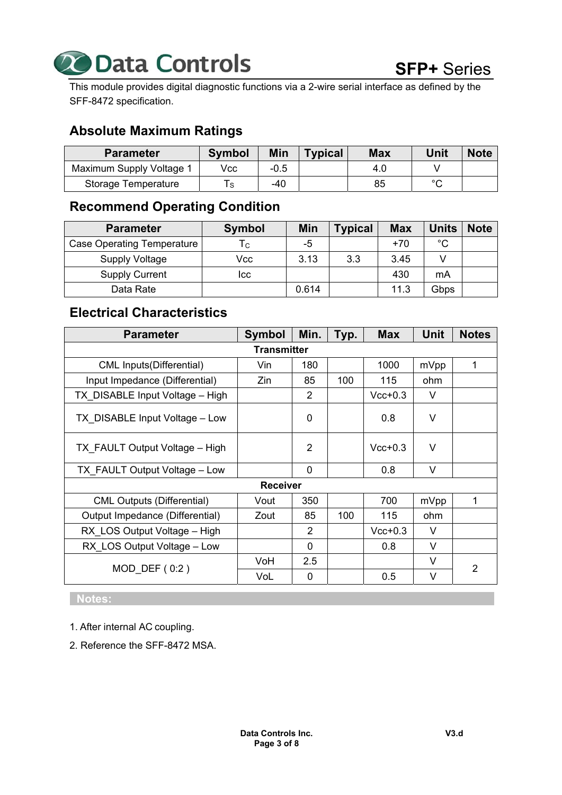

This module provides digital diagnostic functions via a 2-wire serial interface as defined by the SFF-8472 specification.

#### **Absolute Maximum Ratings**

| <b>Parameter</b>         | <b>Symbol</b> | Min    | <b>Typical</b> | <b>Max</b> | Unit   | <b>Note</b> |
|--------------------------|---------------|--------|----------------|------------|--------|-------------|
| Maximum Supply Voltage 1 | Vcc           | $-0.5$ |                | 4.0        |        |             |
| Storage Temperature      | l S           | -40    |                | 85         | $\sim$ |             |

## **Recommend Operating Condition**

| <b>Parameter</b>                  | <b>Symbol</b> | Min   | <b>Typical</b> | <b>Max</b> | <b>Units</b> | <b>Note</b> |
|-----------------------------------|---------------|-------|----------------|------------|--------------|-------------|
| <b>Case Operating Temperature</b> | $^{\circ}$ C  | -5    |                | $+70$      | $^{\circ}$ C |             |
| Supply Voltage                    | Vcc           | 3.13  | 3.3            | 3.45       |              |             |
| <b>Supply Current</b>             | Icc.          |       |                | 430        | mA           |             |
| Data Rate                         |               | 0.614 |                | 11.3       | Gbps         |             |

### **Electrical Characteristics**

| <b>Parameter</b>                  | <b>Symbol</b>   | Min.           | Typ. | <b>Max</b> | <b>Unit</b> | <b>Notes</b>   |  |  |
|-----------------------------------|-----------------|----------------|------|------------|-------------|----------------|--|--|
| <b>Transmitter</b>                |                 |                |      |            |             |                |  |  |
| <b>CML Inputs(Differential)</b>   | Vin             | 180            |      | 1000       | mVpp        | 1              |  |  |
| Input Impedance (Differential)    | Zin             | 85             | 100  | 115        | ohm.        |                |  |  |
| TX DISABLE Input Voltage - High   |                 | 2              |      | $Vcc+0.3$  | V           |                |  |  |
| TX DISABLE Input Voltage - Low    |                 | 0              |      | 0.8        | V           |                |  |  |
| TX FAULT Output Voltage - High    |                 | 2              |      | $Vcc+0.3$  | V           |                |  |  |
| TX FAULT Output Voltage - Low     |                 | 0              |      | 0.8        | V           |                |  |  |
|                                   | <b>Receiver</b> |                |      |            |             |                |  |  |
| <b>CML Outputs (Differential)</b> | Vout            | 350            |      | 700        | mVpp        | 1              |  |  |
| Output Impedance (Differential)   | Zout            | 85             | 100  | 115        | ohm         |                |  |  |
| RX LOS Output Voltage - High      |                 | $\overline{2}$ |      | $Vcc+0.3$  | V           |                |  |  |
| RX LOS Output Voltage - Low       |                 | $\Omega$       |      | 0.8        | V           |                |  |  |
| $MOD$ DEF $(0:2)$                 | VoH             | 2.5            |      |            | V           | $\overline{2}$ |  |  |
|                                   | VoL             | $\mathbf 0$    |      | 0.5        | V           |                |  |  |

#### **Notes:**

- 1. After internal AC coupling.
- 2. Reference the SFF-8472 MSA.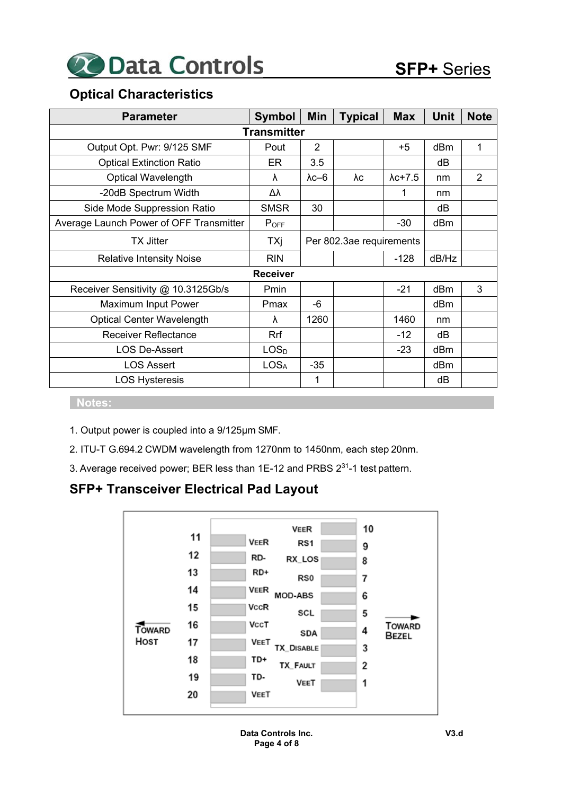

## **Optical Characteristics**

| <b>Parameter</b>                        | <b>Symbol</b>    | Min                      | <b>Typical</b> | <b>Max</b>      | <b>Unit</b> | <b>Note</b>    |  |  |  |
|-----------------------------------------|------------------|--------------------------|----------------|-----------------|-------------|----------------|--|--|--|
| <b>Transmitter</b>                      |                  |                          |                |                 |             |                |  |  |  |
| Output Opt. Pwr: 9/125 SMF              | Pout             | 2                        |                | $+5$            | dBm         | 1              |  |  |  |
| <b>Optical Extinction Ratio</b>         | ER.              | 3.5                      |                |                 | dВ          |                |  |  |  |
| <b>Optical Wavelength</b>               | λ                | $\lambda$ c $-6$         | λc             | $\lambda$ c+7.5 | nm          | $\overline{2}$ |  |  |  |
| -20dB Spectrum Width                    | Δλ               |                          |                | 1               | nm          |                |  |  |  |
| Side Mode Suppression Ratio             | <b>SMSR</b>      | 30                       |                |                 | dB          |                |  |  |  |
| Average Launch Power of OFF Transmitter | $P_{OFF}$        |                          |                | $-30$           | dBm         |                |  |  |  |
| <b>TX Jitter</b>                        | TXj              | Per 802.3ae requirements |                |                 |             |                |  |  |  |
| <b>Relative Intensity Noise</b>         | <b>RIN</b>       |                          |                | $-128$          | dB/Hz       |                |  |  |  |
|                                         | <b>Receiver</b>  |                          |                |                 |             |                |  |  |  |
| Receiver Sensitivity @ 10.3125Gb/s      | Pmin             |                          |                | $-21$           | dBm         | 3              |  |  |  |
| Maximum Input Power                     | Pmax             | $-6$                     |                |                 | dBm         |                |  |  |  |
| <b>Optical Center Wavelength</b>        | λ                | 1260                     |                | 1460            | nm          |                |  |  |  |
| <b>Receiver Reflectance</b>             | Rrf              |                          |                | $-12$           | dB          |                |  |  |  |
| <b>LOS De-Assert</b>                    | LOS <sub>D</sub> |                          |                | $-23$           | dBm         |                |  |  |  |
| <b>LOS Assert</b>                       | LOS <sub>A</sub> | $-35$                    |                |                 | dBm         |                |  |  |  |
| <b>LOS Hysteresis</b>                   |                  | 1                        |                |                 | dB          |                |  |  |  |

#### **Notes:**

- 1. Output power is coupled into a 9/125μm SMF.
- 2. ITU-T G.694.2 CWDM wavelength from 1270nm to 1450nm, each step 20nm.
- 3. Average received power; BER less than 1E-12 and PRBS 231-1 test pattern.

## **SFP+ Transceiver Electrical Pad Layout**

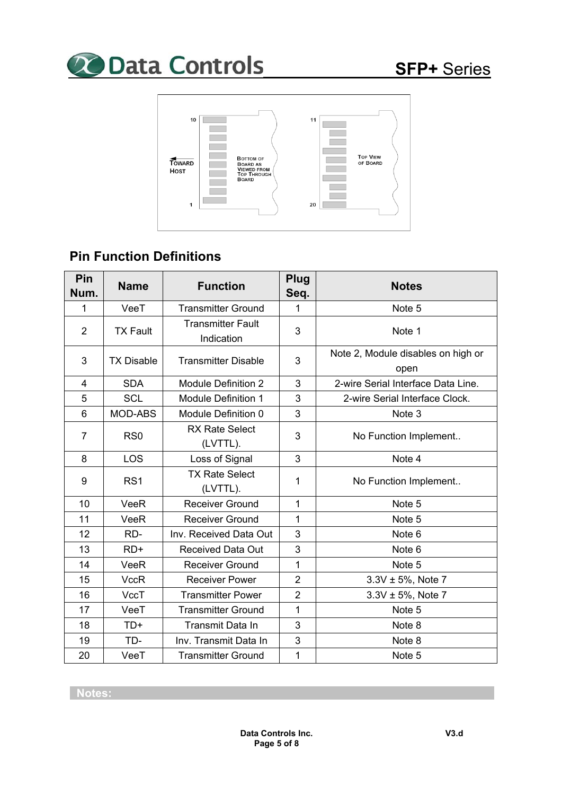





## **Pin Function Definitions**

| Pin<br>Num.    | <b>Name</b>       | <b>Function</b>                        | Plug<br>Seq.   | <b>Notes</b>                               |
|----------------|-------------------|----------------------------------------|----------------|--------------------------------------------|
| 1              | VeeT              | <b>Transmitter Ground</b>              | 1              | Note 5                                     |
| $\overline{2}$ | <b>TX Fault</b>   | <b>Transmitter Fault</b><br>Indication | 3              | Note 1                                     |
| 3              | <b>TX Disable</b> | <b>Transmitter Disable</b>             | 3              | Note 2, Module disables on high or<br>open |
| 4              | <b>SDA</b>        | <b>Module Definition 2</b>             | 3              | 2-wire Serial Interface Data Line.         |
| 5              | <b>SCL</b>        | Module Definition 1                    | 3              | 2-wire Serial Interface Clock.             |
| 6              | MOD-ABS           | Module Definition 0                    | 3              | Note 3                                     |
| $\overline{7}$ | R <sub>S0</sub>   | <b>RX Rate Select</b><br>(LVTTL).      | 3              | No Function Implement                      |
| 8              | LOS               | Loss of Signal                         | 3              | Note 4                                     |
| 9              | RS <sub>1</sub>   | <b>TX Rate Select</b><br>(LVTTL).      | 1              | No Function Implement                      |
| 10             | <b>VeeR</b>       | <b>Receiver Ground</b>                 | 1              | Note 5                                     |
| 11             | VeeR              | <b>Receiver Ground</b>                 | 1              | Note 5                                     |
| 12             | RD-               | Inv. Received Data Out                 | 3              | Note <sub>6</sub>                          |
| 13             | $RD+$             | <b>Received Data Out</b>               | 3              | Note 6                                     |
| 14             | VeeR              | <b>Receiver Ground</b>                 | 1              | Note 5                                     |
| 15             | <b>VccR</b>       | <b>Receiver Power</b>                  | $\overline{2}$ | $3.3V \pm 5%$ , Note 7                     |
| 16             | VccT              | <b>Transmitter Power</b>               | $\overline{2}$ | 3.3V ± 5%, Note 7                          |
| 17             | VeeT              | <b>Transmitter Ground</b>              | 1              | Note 5                                     |
| 18             | TD+               | Transmit Data In                       | 3              | Note 8                                     |
| 19             | TD-               | Inv. Transmit Data In                  | 3              | Note 8                                     |
| 20             | VeeT              | <b>Transmitter Ground</b>              | 1              | Note 5                                     |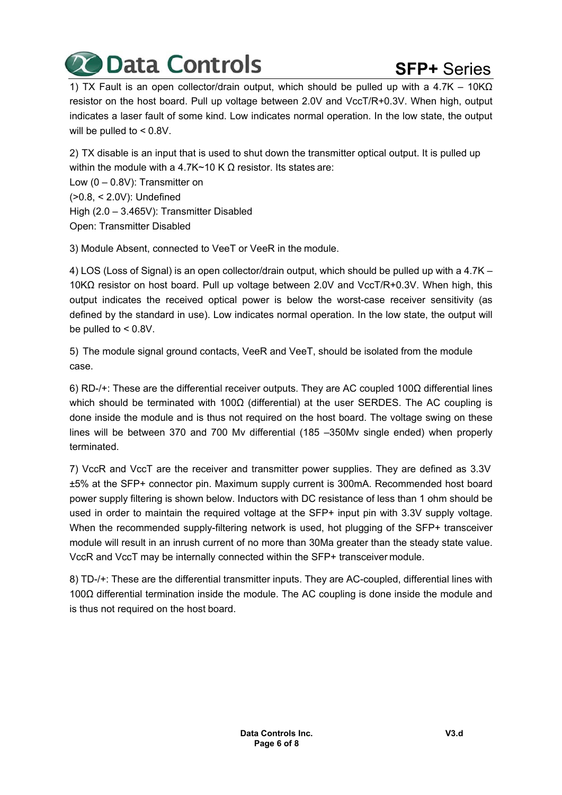

# **SFP+** Series

1) TX Fault is an open collector/drain output, which should be pulled up with a 4.7K – 10KΩ resistor on the host board. Pull up voltage between 2.0V and VccT/R+0.3V. When high, output indicates a laser fault of some kind. Low indicates normal operation. In the low state, the output will be pulled to < 0.8V.

2) TX disable is an input that is used to shut down the transmitter optical output. It is pulled up within the module with a 4.7K~10 K  $Ω$  resistor. Its states are: Low (0 – 0.8V): Transmitter on (>0.8, < 2.0V): Undefined High (2.0 – 3.465V): Transmitter Disabled

Open: Transmitter Disabled

3) Module Absent, connected to VeeT or VeeR in the module.

4) LOS (Loss of Signal) is an open collector/drain output, which should be pulled up with a 4.7K – 10KΩ resistor on host board. Pull up voltage between 2.0V and VccT/R+0.3V. When high, this output indicates the received optical power is below the worst-case receiver sensitivity (as defined by the standard in use). Low indicates normal operation. In the low state, the output will be pulled to < 0.8V.

5) The module signal ground contacts, VeeR and VeeT, should be isolated from the module case.

6) RD-/+: These are the differential receiver outputs. They are AC coupled 100Ω differential lines which should be terminated with 100 $\Omega$  (differential) at the user SERDES. The AC coupling is done inside the module and is thus not required on the host board. The voltage swing on these lines will be between 370 and 700 Mv differential (185 –350Mv single ended) when properly terminated.

7) VccR and VccT are the receiver and transmitter power supplies. They are defined as 3.3V ±5% at the SFP+ connector pin. Maximum supply current is 300mA. Recommended host board power supply filtering is shown below. Inductors with DC resistance of less than 1 ohm should be used in order to maintain the required voltage at the SFP+ input pin with 3.3V supply voltage. When the recommended supply-filtering network is used, hot plugging of the SFP+ transceiver module will result in an inrush current of no more than 30Ma greater than the steady state value. VccR and VccT may be internally connected within the SFP+ transceiver module.

8) TD-/+: These are the differential transmitter inputs. They are AC-coupled, differential lines with 100Ω differential termination inside the module. The AC coupling is done inside the module and is thus not required on the host board.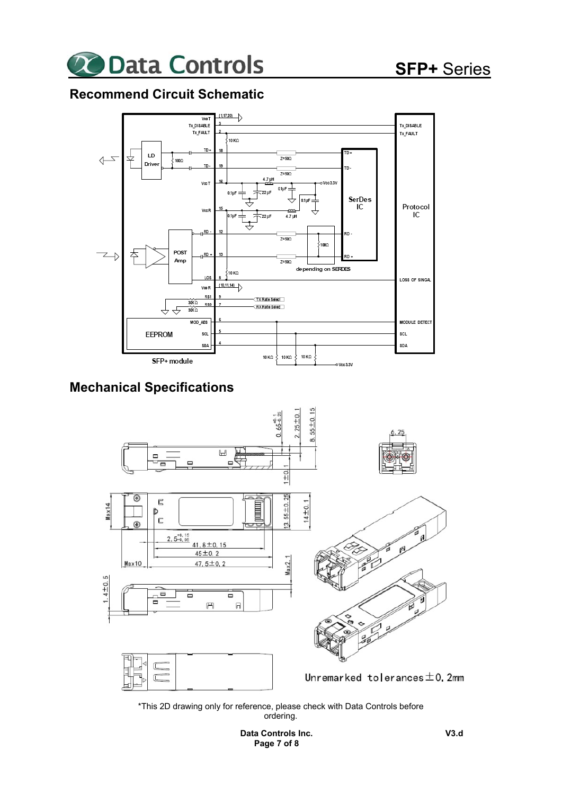

## **Recommend Circuit Schematic**



## **Mechanical Specifications**



\*This 2D drawing only for reference, please check with Data Controls before ordering.

> **Data Controls Inc. Page 7 of 8**